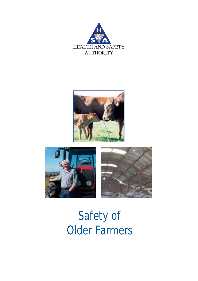





# Safety of Older Farmers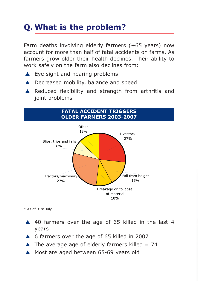## **Q. What is the problem?**

Farm deaths involving elderly farmers (+65 years) now account for more than half of fatal accidents on farms. As farmers grow older their health declines. Their ability to work safely on the farm also declines from:

- $\triangle$  Eye sight and hearing problems
- ▲ Decreased mobility, balance and speed
- ▲ Reduced flexibility and strength from arthritis and joint problems



\* As of 31st July

- ▲ 40 farmers over the age of 65 killed in the last 4 years
- ▲ 6 farmers over the age of 65 killed in 2007
- $\triangle$  The average age of elderly farmers killed = 74
- ▲ Most are aged between 65-69 years old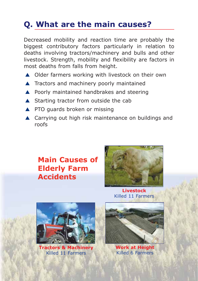### **Q. What are the main causes?**

Decreased mobility and reaction time are probably the biggest contributory factors particularly in relation to deaths involving tractors/machinery and bulls and other livestock. Strength, mobility and flexibility are factors in most deaths from falls from height.

- ▲ Older farmers working with livestock on their own
- ▲ Tractors and machinery poorly maintained
- ▲ Poorly maintained handbrakes and steering
- ▲ Starting tractor from outside the cab
- ▲ PTO quards broken or missing
- ▲ Carrying out high risk maintenance on buildings and roofs

### **Main Causes of Elderly Farm Accidents**





**Tractors & Machinery** Killed 11 Farmers

Killed 11 Farmers

**Work at Height** Killed 6 Farmers